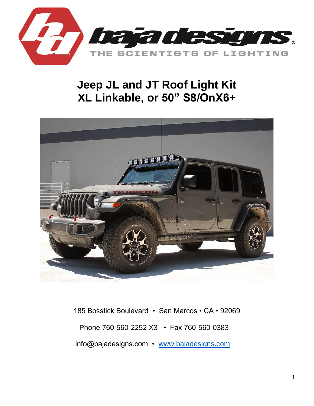

# **Jeep JL and JT Roof Light Kit XL Linkable, or 50" S8/OnX6+**



185 Bosstick Boulevard • San Marcos • CA • 92069 Phone 760-560-2252 X3 • Fax 760-560-0383 info@bajadesigns.com • [www.bajadesigns.com](http://www.bajadesigns.com/)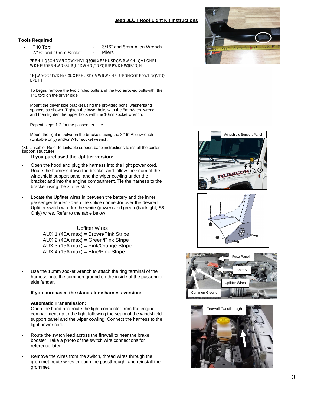# **Jeep JL/JT Roof Light Kit Instructions**

## **Tools Required**

- T40 Torx 3/16" and 5mm Allen Wrench<br>7/16" and 10mm Socket Pliers
	- 7/16" and 10mm Socket

7REHLSOHDM DGGWKLQDH (30UXEEHUSDGWRWKLQGRI WENDFNHWDSSURLPDWHOGRADRPWKWRS RQPDH

1HUDGGRIWKSOUXEEHSDGWRWKALUFOBORFDWLRRQ LPDJH

 To begin, remove the two circled bolts and the two arrowed boltswith the T40 torx on the driver side.

 Mount the driver side bracket using the provided bolts, washersand spacers as shown. Tighten the lower bolts with the 5mmAllen wrench and then tighten the upper bolts with the 10mmsocket wrench.

Repeat steps 1-2 for the passenger side.

 Mount the light in between the brackets using the 3/16" Allen wrench (Linkable only) and/or 7/16" socket wrench.

(XL Linkable: Refer to Linkable support base instructions to install the center support structure)

## **If you purchased the Upfitter version:**

- Open the hood and plug the harness into the light power cord. Route the harness down the bracket and follow the seam of the windshield support panel and the wiper cowling under the bracket and into the engine compartment. Tie the harness to the bracket using the zip tie slots.
- Locate the Upfitter wires in between the battery and the inner passenger fender. Clasp the splice connector over the desired Upfitter switch wire for the white (power) and green (backlight, S8 Only) wires. Refer to the table below.



Use the 10mm socket wrench to attach the ring terminal of the harness onto the common ground on the inside of the passenger side fender.

## **If you purchased the stand-alone harness version:**

#### **Automatic Transmission:**

- Open the hood and route the light connector from the engine compartment up to the light following the seam of the windshield support panel and the wiper cowling. Connect the harness to the light power cord.
- Route the switch lead across the firewall to near the brake booster. Take a photo of the switch wire connections for reference later.
- Remove the wires from the switch, thread wires through the grommet, route wires through the passthrough, and reinstall the grommet.